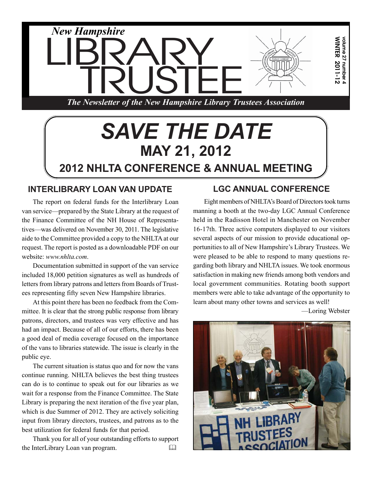

# *SAVE THE DATE* **MAY 21, 2012 2012 NHLTA CONFERENCE & ANNUAL MEETING**

## **INTERLIBRARY LOAN VAN UPDATE**

The report on federal funds for the Interlibrary Loan van service—prepared by the State Library at the request of the Finance Committee of the NH House of Representatives—was delivered on November 30, 2011. The legislative aide to the Committee provided a copy to the NHLTA at our request. The report is posted as a downloadable PDF on our website: *www.nhlta.com*.

Documentation submitted in support of the van service included 18,000 petition signatures as well as hundreds of letters from library patrons and letters from Boards of Trustees representing fifty seven New Hampshire libraries.

At this point there has been no feedback from the Committee. It is clear that the strong public response from library patrons, directors, and trustees was very effective and has had an impact. Because of all of our efforts, there has been a good deal of media coverage focused on the importance of the vans to libraries statewide. The issue is clearly in the public eye.

The current situation is status quo and for now the vans continue running. NHLTA believes the best thing trustees can do is to continue to speak out for our libraries as we wait for a response from the Finance Committee. The State Library is preparing the next iteration of the five year plan, which is due Summer of 2012. They are actively soliciting input from library directors, trustees, and patrons as to the best utilization for federal funds for that period.

Thank you for all of your outstanding efforts to support the InterLibrary Loan van program. 

## **LGC ANNUAL CONFERENCE**

Eight members of NHLTA's Board of Directors took turns manning a booth at the two-day LGC Annual Conference held in the Radisson Hotel in Manchester on November 16-17th. Three active computers displayed to our visitors several aspects of our mission to provide educational opportunities to all of New Hampshire's Library Trustees. We were pleased to be able to respond to many questions regarding both library and NHLTA issues. We took enormous satisfaction in making new friends among both vendors and local government communities. Rotating booth support members were able to take advantage of the opportunity to learn about many other towns and services as well!

—Loring Webster

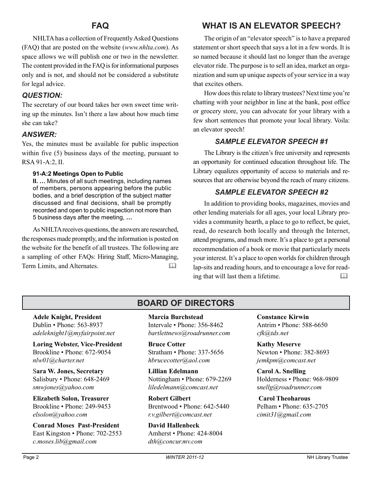## **FAQ**

NHLTA has a collection of Frequently Asked Questions (FAQ) that are posted on the website (*www.nhlta.com*). As space allows we will publish one or two in the newsletter. The content provided in the FAQ is for informational purposes only and is not, and should not be considered a substitute for legal advice.

#### *QUESTION:*

The secretary of our board takes her own sweet time writing up the minutes. Isn't there a law about how much time she can take?

#### *ANSWER:*

Yes, the minutes must be available for public inspection within five (5) business days of the meeting, pursuant to RSA 91-A:2, II.

#### **91-A:2 Meetings Open to Public**

**II. …** Minutes of all such meetings, including names of members, persons appearing before the public bodies, and a brief description of the subject matter discussed and final decisions, shall be promptly recorded and open to public inspection not more than 5 business days after the meeting, **…**

As NHLTA receives questions, the answers are researched, the responses made promptly, and the information is posted on the website for the benefit of all trustees. The following are a sampling of other FAQs: Hiring Staff, Micro-Managing, Term Limits, and Alternates.

## **WHAT IS AN ELEVATOR SPEECH?**

The origin of an "elevator speech" is to have a prepared statement or short speech that says a lot in a few words. It is so named because it should last no longer than the average elevator ride. The purpose is to sell an idea, market an organization and sum up unique aspects of your service in a way that excites others.

How does this relate to library trustees? Next time you're chatting with your neighbor in line at the bank, post office or grocery store, you can advocate for your library with a few short sentences that promote your local library. Voila: an elevator speech!

#### *SAMPLE ELEVATOR SPEECH #1*

The Library is the citizen's free university and represents an opportunity for continued education throughout life. The Library equalizes opportunity of access to materials and resources that are otherwise beyond the reach of many citizens.

#### *SAMPLE ELEVATOR SPEECH #2*

In addition to providing books, magazines, movies and other lending materials for all ages, your local Library provides a community hearth, a place to go to reflect, be quiet, read, do research both locally and through the Internet, attend programs, and much more. It's a place to get a personal recommendation of a book or movie that particularly meets your interest. It's a place to open worlds for children through lap-sits and reading hours, and to encourage a love for reading that will last them a lifetime. 

## **BOARD OF DIRECTORS**

**Adele Knight, President** Dublin • Phone: 563-8937 *adeleknight1@myfairpoint.net*

**Loring Webster, Vice-President** Brookline • Phone: 672-9054 *nlw01@charter.net*

S**ara W. Jones, Secretary** Salisbury • Phone: 648-2469 *smwjones@yahoo.com*

**Elizabeth Solon, Treasurer** Brookline • Phone: 249-9453 *elsolon@yahoo.com*

**Conrad Moses Past-President** East Kingston • Phone: 702-2553 *c.moses.lib@gmail.com*

**Marcia Burchstead** Intervale • Phone: 356-8462 *bartlettnews@roadrunner.com*

**Bruce Cotter** Stratham • Phone: 337-5656 *hbrucecotter@aol.com*

**Lillian Edelmann** Nottingham • Phone: 679-2269 *liledelmann@comcast.net*

**Robert Gilbert** Brentwood • Phone: 642-5440 *r.v.gilbert@comcast.net*

**David Hallenbeck** Amherst • Phone: 424-8004 *dth@concur.mv.com*

**Constance Kirwin** Antrim • Phone: 588-6650 *cfk@tds.net*

**Kathy Meserve** Newton • Phone: 382-8693 *jemkpm@comcast.net*

**Carol A. Snelling** Holderness • Phone: 968-9809 s*nellg@roadrunner.com*

**Carol Theoharous** Pelham • Phone: 635-2705 *cimit31@gmail.com*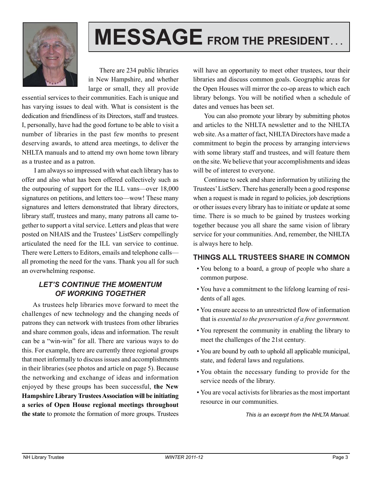

# **MESSAGE FROM THE PRESIDENT. . .**

There are 234 public libraries in New Hampshire, and whether large or small, they all provide

essential services to their communities. Each is unique and has varying issues to deal with. What is consistent is the dedication and friendliness of its Directors, staff and trustees. I, personally, have had the good fortune to be able to visit a number of libraries in the past few months to present deserving awards, to attend area meetings, to deliver the NHLTA manuals and to attend my own home town library as a trustee and as a patron.

 I am always so impressed with what each library has to offer and also what has been offered collectively such as the outpouring of support for the ILL vans—over 18,000 signatures on petitions, and letters too—wow! These many signatures and letters demonstrated that library directors, library staff, trustees and many, many patrons all came together to support a vital service. Letters and pleas that were posted on NHAIS and the Trustees' ListServ compellingly articulated the need for the ILL van service to continue. There were Letters to Editors, emails and telephone calls all promoting the need for the vans. Thank you all for such an overwhelming response.

#### *LET'S CONTINUE THE MOMENTUM OF WORKING TOGETHER*

As trustees help libraries move forward to meet the challenges of new technology and the changing needs of patrons they can network with trustees from other libraries and share common goals, ideas and information. The result can be a "win-win" for all. There are various ways to do this. For example, there are currently three regional groups that meet informally to discuss issues and accomplishments in their libraries (see photos and article on page 5). Because the networking and exchange of ideas and information enjoyed by these groups has been successful, **the New Hampshire Library Trustees Association will be initiating a series of Open House regional meetings throughout the state** to promote the formation of more groups. Trustees

will have an opportunity to meet other trustees, tour their libraries and discuss common goals. Geographic areas for the Open Houses will mirror the co-op areas to which each library belongs. You will be notified when a schedule of dates and venues has been set.

You can also promote your library by submitting photos and articles to the NHLTA newsletter and to the NHLTA web site. As a matter of fact, NHLTA Directors have made a commitment to begin the process by arranging interviews with some library staff and trustees, and will feature them on the site. We believe that your accomplishments and ideas will be of interest to everyone.

Continue to seek and share information by utilizing the Trustees' ListServ. There has generally been a good response when a request is made in regard to policies, job descriptions or other issues every library has to initiate or update at some time. There is so much to be gained by trustees working together because you all share the same vision of library service for your communities. And, remember, the NHLTA is always here to help.

## **THINGS ALL TRUSTEES SHARE IN COMMON**

- You belong to a board, a group of people who share a common purpose.
- You have a commitment to the lifelong learning of residents of all ages.
- You ensure access to an unrestricted flow of information that is *essential to the preservation of a free government.*
- You represent the community in enabling the library to meet the challenges of the 21st century*.*
- You are bound by oath to uphold all applicable municipal, state, and federal laws and regulations.
- You obtain the necessary funding to provide for the service needs of the library.
- You are vocal activists for libraries as the most important resource in our communities.

*This is an excerpt from the NHLTA Manual.*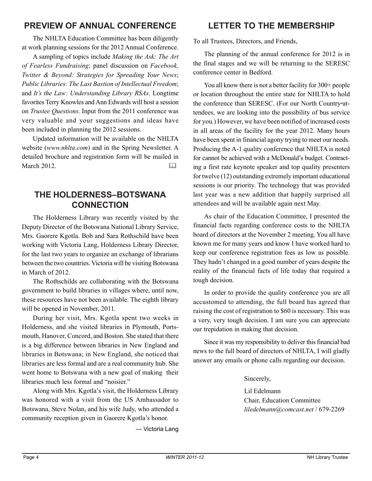## **PREVIEW OF ANNUAL CONFERENCE**

The NHLTA Education Committee has been diligently at work planning sessions for the 2012 Annual Conference.

A sampling of topics include *Making the Ask: The Art of Fearless Fundraising*; panel discussion on *Facebook, Twitter & Beyond: Strategies for Spreading Your News*; *Public Libraries: The Last Bastion of Intellectual Freedom*; and *It's the Law: Understanding Library RSAs*. Longtime favorites Terry Knowles and Ann Edwards will host a session on *Trustee Questions*. Input from the 2011 conference was very valuable and your suggestions and ideas have been included in planning the 2012 sessions.

Updated information will be available on the NHLTA website (*www.nhlta.com*) and in the Spring Newsletter. A detailed brochure and registration form will be mailed in March 2012

## **THE HOLDERNESS–BOTSWANA CONNECTION**

The Holderness Library was recently visited by the Deputy Director of the Botswana National Library Service, Mrs. Gaorere Kgotla. Bob and Sara Rothschild have been working with Victoria Lang, Holderness Library Director, for the last two years to organize an exchange of librarians between the two countries. Victoria will be visiting Botswana in March of 2012.

The Rothschilds are collaborating with the Botswana government to build libraries in villages where, until now, these resources have not been available. The eighth library will be opened in November, 2011.

During her visit, Mrs. Kgotla spent two weeks in Holderness, and she visited libraries in Plymouth, Portsmouth, Hanover, Concord, and Boston. She stated that there is a big difference between libraries in New England and libraries in Botswana; in New England, she noticed that libraries are less formal and are a real community hub. She went home to Botswana with a new goal of making their libraries much less formal and "noisier."

Along with Mrs. Kgotla's visit, the Holderness Library was honored with a visit from the US Ambassador to Botswana, Steve Nolan, and his wife Judy, who attended a community reception given in Gaorere Kgotla's honor.

— Victoria Lang

## **LETTER TO THE MEMBERSHIP**

To all Trustees, Directors, and Friends,

The planning of the annual conference for 2012 is in the final stages and we will be returning to the SERESC conference center in Bedford.

You all know there is not a better facility for 300+ people or location throughout the entire state for NHLTA to hold the conference than SERESC. (For our North Country-attendees, we are looking into the possibility of bus service for you.) However, we have been notified of increased costs in all areas of the facility for the year 2012. Many hours have been spent in financial agony trying to meet our needs. Producing the A-1 quality conference that NHLTA is noted for cannot be achieved with a McDonald's budget. Contracting a first rate keynote speaker and top quality presenters for twelve (12) outstanding extremely important educational sessions is our priority. The technology that was provided last year was a new addition that happily surprised all attendees and will be available again next May.

As chair of the Education Committee, I presented the financial facts regarding conference costs to the NHLTA board of directors at the November 2 meeting. You all have known me for many years and know I have worked hard to keep our conference registration fees as low as possible. They hadn't changed in a good number of years despite the reality of the financial facts of life today that required a tough decision.

In order to provide the quality conference you are all accustomed to attending, the full board has agreed that raising the cost of registration to \$60 is necessary. This was a very, very tough decision. I am sure you can appreciate our trepidation in making that decision.

Since it was my responsibility to deliver this financial bad news to the full board of directors of NHLTA, I will gladly answer any emails or phone calls regarding our decision.

Sincerely,

Lil Edelmann Chair, Education Committee *liledelmann@comcast.net* / 679-2269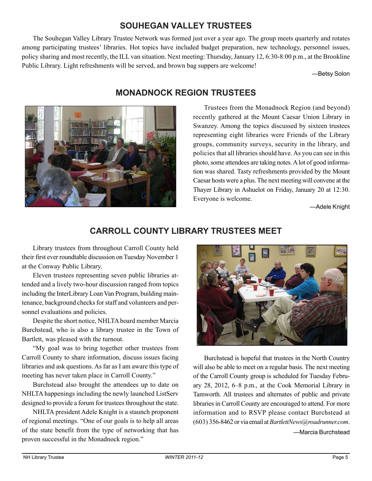## **SOUHEGAN VALLEY TRUSTEES**

The Souhegan Valley Library Trustee Network was formed just over a year ago. The group meets quarterly and rotates among participating trustees' libraries. Hot topics have included budget preparation, new technology, personnel issues, policy sharing and most recently, the ILL van situation. Next meeting: Thursday, January 12, 6:30-8:00 p.m., at the Brookline Public Library. Light refreshments will be served, and brown bag suppers are welcome!

—Betsy Solon



## **MONADNOCK REGION TRUSTEES**

Trustees from the Monadnock Region (and beyond) recently gathered at the Mount Caesar Union Library in Swanzey. Among the topics discussed by sixteen trustees representing eight libraries were Friends of the Library groups, community surveys, security in the library, and policies that all libraries should have. As you can see in this photo, some attendees are taking notes. A lot of good information was shared. Tasty refreshments provided by the Mount Caesar hosts were a plus. The next meeting will convene at the Thayer Library in Ashuelot on Friday, January 20 at 12:30. Everyone is welcome.

—Adele Knight

## **CARROLL COUNTY LIBRARY TRUSTEES MEET**

Library trustees from throughout Carroll County held their first ever roundtable discussion on Tuesday November 1 at the Conway Public Library.

Eleven trustees representing seven public libraries attended and a lively two-hour discussion ranged from topics including the InterLibrary Loan Van Program, building maintenance, background checks for staff and volunteers and personnel evaluations and policies.

Despite the short notice, NHLTA board member Marcia Burchstead, who is also a library trustee in the Town of Bartlett, was pleased with the turnout.

"My goal was to bring together other trustees from Carroll County to share information, discuss issues facing libraries and ask questions. As far as I am aware this type of meeting has never taken place in Carroll County."

Burchstead also brought the attendees up to date on NHLTA happenings including the newly launched ListServ designed to provide a forum for trustees throughout the state.

NHLTA president Adele Knight is a staunch proponent of regional meetings. "One of our goals is to help all areas of the state benefit from the type of networking that has proven successful in the Monadnock region."



Burchstead is hopeful that trustees in the North Country will also be able to meet on a regular basis. The next meeting of the Carroll County group is scheduled for Tuesday February 28, 2012, 6–8 p.m., at the Cook Memorial Library in Tamworth. All trustees and alternates of public and private libraries in Carroll County are encouraged to attend. For more information and to RSVP please contact Burchstead at (603) 356-8462 or via email at *BartlettNews@roadrunner.com*. —Marcia Burchstead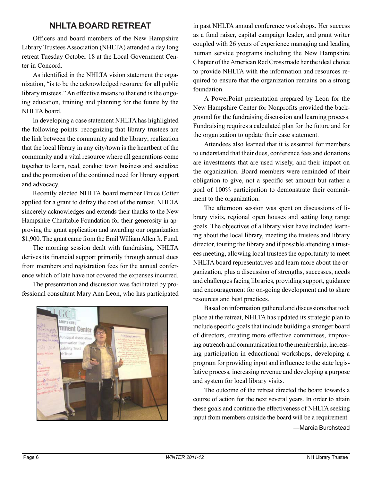## **NHLTA BOARD RETREAT**

Officers and board members of the New Hampshire Library Trustees Association (NHLTA) attended a day long retreat Tuesday October 18 at the Local Government Center in Concord.

As identified in the NHLTA vision statement the organization, "is to be the acknowledged resource for all public library trustees." An effective means to that end is the ongoing education, training and planning for the future by the NHLTA board.

In developing a case statement NHLTA has highlighted the following points: recognizing that library trustees are the link between the community and the library; realization that the local library in any city/town is the heartbeat of the community and a vital resource where all generations come together to learn, read, conduct town business and socialize; and the promotion of the continued need for library support and advocacy.

Recently elected NHLTA board member Bruce Cotter applied for a grant to defray the cost of the retreat. NHLTA sincerely acknowledges and extends their thanks to the New Hampshire Charitable Foundation for their generosity in approving the grant application and awarding our organization \$1,900. The grant came from the Emil William Allen Jr. Fund.

The morning session dealt with fundraising. NHLTA derives its financial support primarily through annual dues from members and registration fees for the annual conference which of late have not covered the expenses incurred.

The presentation and discussion was facilitated by professional consultant Mary Ann Leon, who has participated



in past NHLTA annual conference workshops. Her success as a fund raiser, capital campaign leader, and grant writer coupled with 26 years of experience managing and leading human service programs including the New Hampshire Chapter of the American Red Cross made her the ideal choice to provide NHLTA with the information and resources required to ensure that the organization remains on a strong foundation.

A PowerPoint presentation prepared by Leon for the New Hampshire Center for Nonprofits provided the background for the fundraising discussion and learning process. Fundraising requires a calculated plan for the future and for the organization to update their case statement.

Attendees also learned that it is essential for members to understand that their dues, conference fees and donations are investments that are used wisely, and their impact on the organization. Board members were reminded of their obligation to give, not a specific set amount but rather a goal of 100% participation to demonstrate their commitment to the organization.

The afternoon session was spent on discussions of library visits, regional open houses and setting long range goals. The objectives of a library visit have included learning about the local library, meeting the trustees and library director, touring the library and if possible attending a trustees meeting, allowing local trustees the opportunity to meet NHLTA board representatives and learn more about the organization, plus a discussion of strengths, successes, needs and challenges facing libraries, providing support, guidance and encouragement for on-going development and to share resources and best practices.

Based on information gathered and discussions that took place at the retreat, NHLTA has updated its strategic plan to include specific goals that include building a stronger board of directors, creating more effective committees, improving outreach and communication to the membership, increasing participation in educational workshops, developing a program for providing input and influence to the state legislative process, increasing revenue and developing a purpose and system for local library visits.

The outcome of the retreat directed the board towards a course of action for the next several years. In order to attain these goals and continue the effectiveness of NHLTA seeking input from members outside the board will be a requirement.

—Marcia Burchstead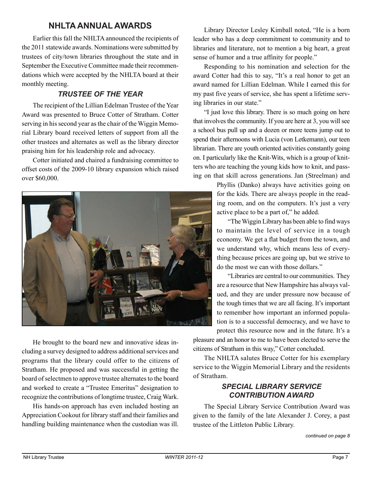## **NHLTA ANNUAL AWARDS**

Earlier this fall the NHLTA announced the recipients of the 2011 statewide awards. Nominations were submitted by trustees of city/town libraries throughout the state and in September the Executive Committee made their recommendations which were accepted by the NHLTA board at their monthly meeting.

### *TRUSTEE OF THE YEAR*

The recipient of the Lillian Edelman Trustee of the Year Award was presented to Bruce Cotter of Stratham. Cotter serving in his second year as the chair of the Wiggin Memorial Library board received letters of support from all the other trustees and alternates as well as the library director praising him for his leadership role and advocacy.

Cotter initiated and chaired a fundraising committee to offset costs of the 2009-10 library expansion which raised over \$60,000.



He brought to the board new and innovative ideas including a survey designed to address additional services and programs that the library could offer to the citizens of Stratham. He proposed and was successful in getting the board of selectmen to approve trustee alternates to the board and worked to create a "Trustee Emeritus" designation to recognize the contributions of longtime trustee, Craig Wark.

His hands-on approach has even included hosting an Appreciation Cookout for library staff and their families and handling building maintenance when the custodian was ill.

Library Director Lesley Kimball noted, "He is a born leader who has a deep commitment to community and to libraries and literature, not to mention a big heart, a great sense of humor and a true affinity for people."

Responding to his nomination and selection for the award Cotter had this to say, "It's a real honor to get an award named for Lillian Edelman. While I earned this for my past five years of service, she has spent a lifetime serving libraries in our state."

"I just love this library. There is so much going on here that involves the community. If you are here at 3, you will see a school bus pull up and a dozen or more teens jump out to spend their afternoons with Lucia (von Letkemann), our teen librarian. There are youth oriented activities constantly going on. I particularly like the Knit-Wits, which is a group of knitters who are teaching the young kids how to knit, and passing on that skill across generations. Jan (Streelman) and

> Phyllis (Danko) always have activities going on for the kids. There are always people in the reading room, and on the computers. It's just a very active place to be a part of," he added.

"The Wiggin Library has been able to find ways to maintain the level of service in a tough economy. We get a flat budget from the town, and we understand why, which means less of everything because prices are going up, but we strive to do the most we can with those dollars."

"Libraries are central to our communities. They are a resource that New Hampshire has always valued, and they are under pressure now because of the tough times that we are all facing. It's important to remember how important an informed population is to a successful democracy, and we have to protect this resource now and in the future. It's a

pleasure and an honor to me to have been elected to serve the citizens of Stratham in this way," Cotter concluded.

The NHLTA salutes Bruce Cotter for his exemplary service to the Wiggin Memorial Library and the residents of Stratham.

#### *SPECIAL LIBRARY SERVICE CONTRIBUTION AWARD*

The Special Library Service Contribution Award was given to the family of the late Alexander J. Corey, a past trustee of the Littleton Public Library.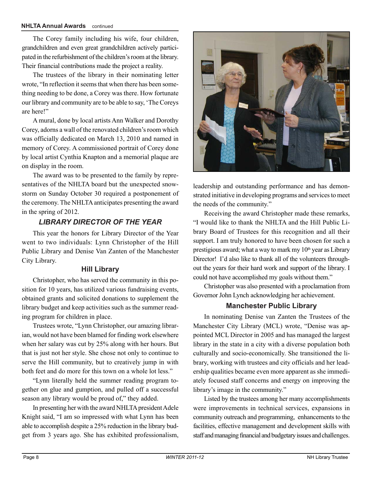#### **NHLTA Annual Awards** continued

The Corey family including his wife, four children, grandchildren and even great grandchildren actively participated in the refurbishment of the children's room at the library. Their financial contributions made the project a reality.

The trustees of the library in their nominating letter wrote, "In reflection it seems that when there has been something needing to be done, a Corey was there. How fortunate our library and community are to be able to say, 'The Coreys are here!"

A mural, done by local artists Ann Walker and Dorothy Corey, adorns a wall of the renovated children's room which was officially dedicated on March 13, 2010 and named in memory of Corey. A commissioned portrait of Corey done by local artist Cynthia Knapton and a memorial plaque are on display in the room.

The award was to be presented to the family by representatives of the NHLTA board but the unexpected snowstorm on Sunday October 30 required a postponement of the ceremony. The NHLTA anticipates presenting the award in the spring of 2012.

#### *LIBRARY DIRECTOR OF THE YEAR*

This year the honors for Library Director of the Year went to two individuals: Lynn Christopher of the Hill Public Library and Denise Van Zanten of the Manchester City Library.

#### **Hill Library**

Christopher, who has served the community in this position for 10 years, has utilized various fundraising events, obtained grants and solicited donations to supplement the library budget and keep activities such as the summer reading program for children in place.

Trustees wrote, "Lynn Christopher, our amazing librarian, would not have been blamed for finding work elsewhere when her salary was cut by 25% along with her hours. But that is just not her style. She chose not only to continue to serve the Hill community, but to creatively jump in with both feet and do more for this town on a whole lot less."

"Lynn literally held the summer reading program together on glue and gumption, and pulled off a successful season any library would be proud of," they added.

In presenting her with the award NHLTA president Adele Knight said, "I am so impressed with what Lynn has been able to accomplish despite a 25% reduction in the library budget from 3 years ago. She has exhibited professionalism,



leadership and outstanding performance and has demonstrated initiative in developing programs and services to meet the needs of the community."

Receiving the award Christopher made these remarks, "I would like to thank the NHLTA and the Hill Public Library Board of Trustees for this recognition and all their support. I am truly honored to have been chosen for such a prestigious award; what a way to mark my  $10<sup>th</sup>$  year as Library Director! I'd also like to thank all of the volunteers throughout the years for their hard work and support of the library. I could not have accomplished my goals without them."

Christopher was also presented with a proclamation from Governor John Lynch acknowledging her achievement.

#### **Manchester Public Library**

In nominating Denise van Zanten the Trustees of the Manchester City Library (MCL) wrote, "Denise was appointed MCL Director in 2005 and has managed the largest library in the state in a city with a diverse population both culturally and socio-economically. She transitioned the library, working with trustees and city officials and her leadership qualities became even more apparent as she immediately focused staff concerns and energy on improving the library's image in the community."

Listed by the trustees among her many accomplishments were improvements in technical services, expansions in community outreach and programming, enhancements to the facilities, effective management and development skills with staff and managing financial and budgetary issues and challenges.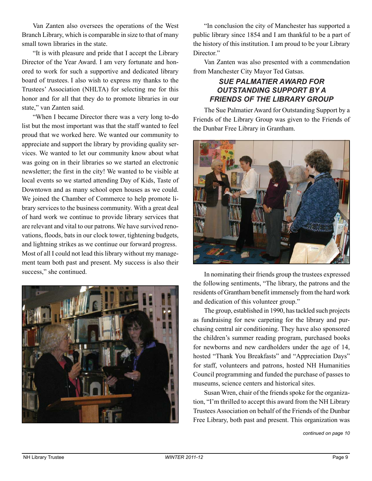Van Zanten also oversees the operations of the West Branch Library, which is comparable in size to that of many small town libraries in the state.

"It is with pleasure and pride that I accept the Library Director of the Year Award. I am very fortunate and honored to work for such a supportive and dedicated library board of trustees. I also wish to express my thanks to the Trustees' Association (NHLTA) for selecting me for this honor and for all that they do to promote libraries in our state," van Zanten said.

"When I became Director there was a very long to-do list but the most important was that the staff wanted to feel proud that we worked here. We wanted our community to appreciate and support the library by providing quality services. We wanted to let our community know about what was going on in their libraries so we started an electronic newsletter; the first in the city! We wanted to be visible at local events so we started attending Day of Kids, Taste of Downtown and as many school open houses as we could. We joined the Chamber of Commerce to help promote library services to the business community. With a great deal of hard work we continue to provide library services that are relevant and vital to our patrons. We have survived renovations, floods, bats in our clock tower, tightening budgets, and lightning strikes as we continue our forward progress. Most of all I could not lead this library without my management team both past and present. My success is also their success," she continued.



"In conclusion the city of Manchester has supported a public library since 1854 and I am thankful to be a part of the history of this institution. I am proud to be your Library Director."

Van Zanten was also presented with a commendation from Manchester City Mayor Ted Gatsas.

## *SUE PALMATIER AWARD FOR OUTSTANDING SUPPORT BY A FRIENDS OF THE LIBRARY GROUP*

The Sue Palmatier Award for Outstanding Support by a Friends of the Library Group was given to the Friends of the Dunbar Free Library in Grantham.



In nominating their friends group the trustees expressed the following sentiments, "The library, the patrons and the residents of Grantham benefit immensely from the hard work and dedication of this volunteer group."

The group, established in 1990, has tackled such projects as fundraising for new carpeting for the library and purchasing central air conditioning. They have also sponsored the children's summer reading program, purchased books for newborns and new cardholders under the age of 14, hosted "Thank You Breakfasts" and "Appreciation Days" for staff, volunteers and patrons, hosted NH Humanities Council programming and funded the purchase of passes to museums, science centers and historical sites.

Susan Wren, chair of the friends spoke for the organization, "I'm thrilled to accept this award from the NH Library Trustees Association on behalf of the Friends of the Dunbar Free Library, both past and present. This organization was

*continued on page 10*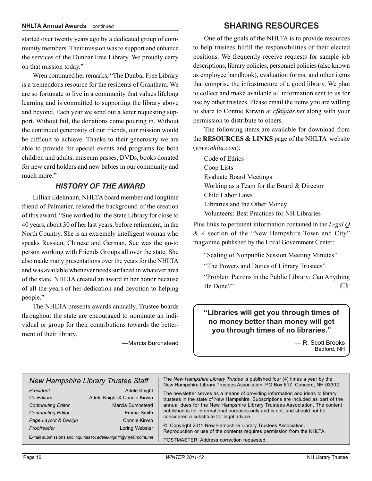started over twenty years ago by a dedicated group of community members. Their mission was to support and enhance the services of the Dunbar Free Library. We proudly carry on that mission today."

Wren continued her remarks, "The Dunbar Free Library is a tremendous resource for the residents of Grantham. We are so fortunate to live in a community that values lifelong learning and is committed to supporting the library above and beyond. Each year we send out a letter requesting support. Without fail, the donations come pouring in. Without the continued generosity of our friends, our mission would be difficult to achieve. Thanks to their generosity we are able to provide for special events and programs for both children and adults, museum passes, DVDs, books donated for new card holders and new babies in our community and much more."

#### *HISTORY OF THE AWARD*

Lillian Edelmann, NHLTA board member and longtime friend of Palmatier, related the background of the creation of this award. "Sue worked for the State Library for close to 40 years, about 30 of her last years, before retirement, in the North Country. She is an extremely intelligent woman who speaks Russian, Chinese and German. Sue was the go-to person working with Friends Groups all over the state. She also made many presentations over the years for the NHLTA and was available whenever needs surfaced in whatever area of the state. NHLTA created an award in her honor because of all the years of her dedication and devotion to helping people."

The NHLTA presents awards annually. Trustee boards throughout the state are encouraged to nominate an individual or group for their contributions towards the betterment of their library.

—Marcia Burchstead

## **SHARING RESOURCES**

One of the goals of the NHLTA is to provide resources to help trustees fulfill the responsibilities of their elected positions. We frequently receive requests for sample job descriptions, library policies, personnel policies (also known as employee handbook), evaluation forms, and other items that comprise the infrastructure of a good library. We plan to collect and make available all information sent to us for use by other trustees. Please email the items you are willing to share to Connie Kirwin at *cfk@tds.net* along with your permission to distribute to others.

The following items are available for download from the **RESOURCES & LINKS** page of the NHLTA website (*www.nhlta.com*):

Code of Ethics Coop Lists Evaluate Board Meetings Working as a Team for the Board & Director Child Labor Laws Libraries and the Other Money Volunteers: Best Practices for NH Libraries

Plus links to pertinent information contained in the *Legal Q & A* section of the "New Hampshire Town and City" magazine published by the Local Government Center:

"Sealing of Nonpublic Session Meeting Minutes"

"The Powers and Duties of Library Trustees"

"Problem Patrons in the Public Library: Can Anything Be Done?"

#### **"Libraries will get you through times of no money better than money will get you through times of no libraries."**

— R. Scott Brooks Bedford, NH

| <b>New Hampshire Library Trustee Staff</b>                                                                                 |                                                                                                                    | The New Hampshire Library Trustee is published four (4) times a year by the<br>New Hampshire Library Trustees Association, PO Box 617, Concord, NH 03302.                                                                                                                                                                                                                                                                                                                                                                |
|----------------------------------------------------------------------------------------------------------------------------|--------------------------------------------------------------------------------------------------------------------|--------------------------------------------------------------------------------------------------------------------------------------------------------------------------------------------------------------------------------------------------------------------------------------------------------------------------------------------------------------------------------------------------------------------------------------------------------------------------------------------------------------------------|
| President<br>Co-Editors<br><b>Contributing Editor</b><br><b>Contributing Editor</b><br>Page Layout & Design<br>Proofreader | Adele Knight<br>Adele Knight & Connie Kirwin<br>Marcia Burchstead<br>Emma Smith<br>Connie Kirwin<br>Loring Webster | The newsletter serves as a means of providing information and ideas to library<br>trustees in the state of New Hampshire. Subscriptions are included as part of the<br>annual dues for the New Hampshire Library Trustees Association. The content<br>published is for informational purposes only and is not, and should not be<br>considered a substitute for legal advice.<br>© Copyright 2011 New Hampshire Library Trustees Association.<br>Reproduction or use of the contents requires permission from the NHLTA. |
| E-mail submissions and inquiries to: adeleknight1@myfairpoint.net                                                          |                                                                                                                    | POSTMASTER: Address correction requested.                                                                                                                                                                                                                                                                                                                                                                                                                                                                                |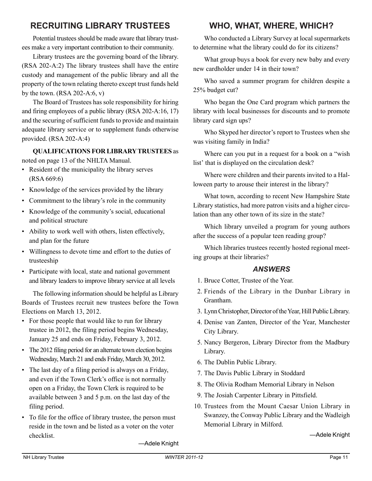## **RECRUITING LIBRARY TRUSTEES**

Potential trustees should be made aware that library trustees make a very important contribution to their community.

Library trustees are the governing board of the library. (RSA 202-A:2) The library trustees shall have the entire custody and management of the public library and all the property of the town relating thereto except trust funds held by the town.  $(RSA 202-A:6, v)$ 

The Board of Trustees has sole responsibility for hiring and firing employees of a public library (RSA 202-A:16, 17) and the securing of sufficient funds to provide and maintain adequate library service or to supplement funds otherwise provided. (RSA 202-A:4)

#### **QUALIFICATIONS FOR LIBRARY TRUSTEES** as noted on page 13 of the NHLTA Manual.

- Resident of the municipality the library serves (RSA 669:6)
- Knowledge of the services provided by the library
- Commitment to the library's role in the community
- Knowledge of the community's social, educational and political structure
- Ability to work well with others, listen effectively, and plan for the future
- Willingness to devote time and effort to the duties of trusteeship
- Participate with local, state and national government and library leaders to improve library service at all levels

The following information should be helpful as Library Boards of Trustees recruit new trustees before the Town Elections on March 13, 2012.

- For those people that would like to run for library trustee in 2012, the filing period begins Wednesday, January 25 and ends on Friday, February 3, 2012.
- The 2012 filing period for an alternate town election begins Wednesday, March 21 and ends Friday, March 30, 2012.
- The last day of a filing period is always on a Friday, and even if the Town Clerk's office is not normally open on a Friday, the Town Clerk is required to be available between 3 and 5 p.m. on the last day of the filing period.
- To file for the office of library trustee, the person must reside in the town and be listed as a voter on the voter checklist.

## **WHO, WHAT, WHERE, WHICH?**

Who conducted a Library Survey at local supermarkets to determine what the library could do for its citizens?

What group buys a book for every new baby and every new cardholder under 14 in their town?

Who saved a summer program for children despite a 25% budget cut?

Who began the One Card program which partners the library with local businesses for discounts and to promote library card sign ups?

Who Skyped her director's report to Trustees when she was visiting family in India?

Where can you put in a request for a book on a "wish list' that is displayed on the circulation desk?

Where were children and their parents invited to a Halloween party to arouse their interest in the library?

What town, according to recent New Hampshire State Library statistics, had more patron visits and a higher circulation than any other town of its size in the state?

Which library unveiled a program for young authors after the success of a popular teen reading group?

Which libraries trustees recently hosted regional meeting groups at their libraries?

#### *ANSWERS*

- 1. Bruce Cotter, Trustee of the Year.
- 2. Friends of the Library in the Dunbar Library in Grantham.
- 3. Lynn Christopher, Director of the Year, Hill Public Library.
- 4. Denise van Zanten, Director of the Year, Manchester City Library.
- 5. Nancy Bergeron, Library Director from the Madbury Library.
- 6. The Dublin Public Library.
- 7. The Davis Public Library in Stoddard
- 8. The Olivia Rodham Memorial Library in Nelson
- 9. The Josiah Carpenter Library in Pittsfield.
- 10. Trustees from the Mount Caesar Union Library in Swanzey, the Conway Public Library and the Wadleigh Memorial Library in Milford.

—Adele Knight

—Adele Knight